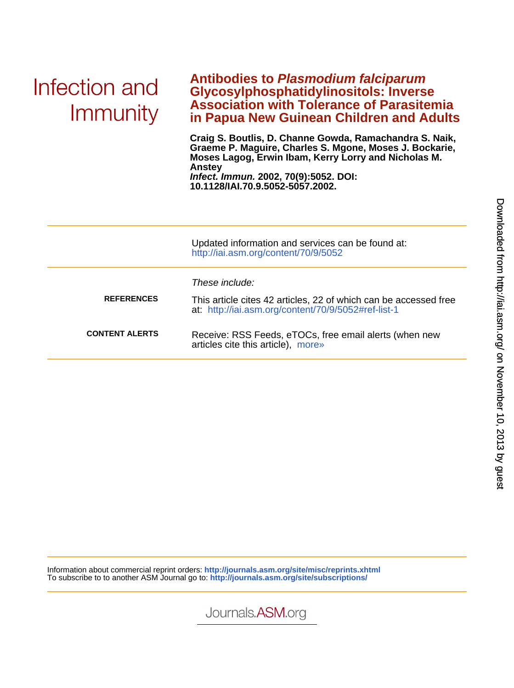# Infection and Immunity

### **in Papua New Guinean Children and Adults Association with Tolerance of Parasitemia Glycosylphosphatidylinositols: Inverse Antibodies to Plasmodium falciparum**

**10.1128/IAI.70.9.5052-5057.2002. Infect. Immun. 2002, 70(9):5052. DOI: Anstey Moses Lagog, Erwin Ibam, Kerry Lorry and Nicholas M. Graeme P. Maguire, Charles S. Mgone, Moses J. Bockarie, Craig S. Boutlis, D. Channe Gowda, Ramachandra S. Naik,**

|                       | Updated information and services can be found at:<br>http://iai.asm.org/content/70/9/5052                               |
|-----------------------|-------------------------------------------------------------------------------------------------------------------------|
|                       | These include:                                                                                                          |
| <b>REFERENCES</b>     | This article cites 42 articles, 22 of which can be accessed free<br>at: http://iai.asm.org/content/70/9/5052#ref-list-1 |
| <b>CONTENT ALERTS</b> | Receive: RSS Feeds, eTOCs, free email alerts (when new<br>articles cite this article), more»                            |

Information about commercial reprint orders: **<http://journals.asm.org/site/misc/reprints.xhtml>** To subscribe to to another ASM Journal go to: **<http://journals.asm.org/site/subscriptions/>**



on November 10, 2013 by guest <http://iai.asm.org/> Downloaded from

Journals.ASM.org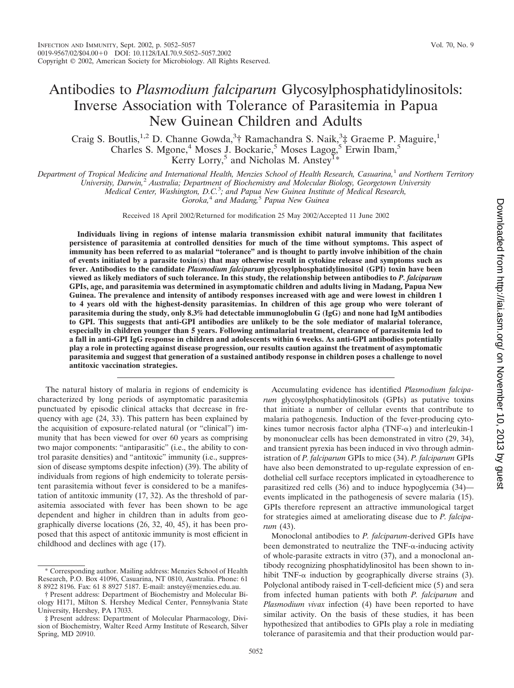## Antibodies to *Plasmodium falciparum* Glycosylphosphatidylinositols: Inverse Association with Tolerance of Parasitemia in Papua New Guinean Children and Adults

Craig S. Boutlis,<sup>1,2</sup> D. Channe Gowda,<sup>3</sup>† Ramachandra S. Naik,<sup>3</sup>‡ Graeme P. Maguire,<sup>1</sup> Charles S. Mgone,<sup>4</sup> Moses J. Bockarie,<sup>5</sup> Moses Lagog,<sup>5</sup> Erwin Ibam,<sup>5</sup> Kerry Lorry,<sup>5</sup> and Nicholas M. Anstey<sup>1\*</sup>

*Department of Tropical Medicine and International Health, Menzies School of Health Research, Casuarina,*<sup>1</sup> *and Northern Territory*

*University, Darwin,*<sup>2</sup> *Australia; Department of Biochemistry and Molecular Biology, Georgetown University*

*Medical Center, Washington, D.C.*<sup>3</sup> *; and Papua New Guinea Institute of Medical Research,*

*Goroka,*<sup>4</sup> *and Madang,*<sup>5</sup> *Papua New Guinea*

Received 18 April 2002/Returned for modification 25 May 2002/Accepted 11 June 2002

**Individuals living in regions of intense malaria transmission exhibit natural immunity that facilitates persistence of parasitemia at controlled densities for much of the time without symptoms. This aspect of immunity has been referred to as malarial "tolerance" and is thought to partly involve inhibition of the chain of events initiated by a parasite toxin(s) that may otherwise result in cytokine release and symptoms such as fever. Antibodies to the candidate** *Plasmodium falciparum* **glycosylphosphatidylinositol (GPI) toxin have been viewed as likely mediators of such tolerance. In this study, the relationship between antibodies to** *P. falciparum* **GPIs, age, and parasitemia was determined in asymptomatic children and adults living in Madang, Papua New Guinea. The prevalence and intensity of antibody responses increased with age and were lowest in children 1 to 4 years old with the highest-density parasitemias. In children of this age group who were tolerant of parasitemia during the study, only 8.3% had detectable immunoglobulin G (IgG) and none had IgM antibodies to GPI. This suggests that anti-GPI antibodies are unlikely to be the sole mediator of malarial tolerance, especially in children younger than 5 years. Following antimalarial treatment, clearance of parasitemia led to a fall in anti-GPI IgG response in children and adolescents within 6 weeks. As anti-GPI antibodies potentially play a role in protecting against disease progression, our results caution against the treatment of asymptomatic parasitemia and suggest that generation of a sustained antibody response in children poses a challenge to novel antitoxic vaccination strategies.**

The natural history of malaria in regions of endemicity is characterized by long periods of asymptomatic parasitemia punctuated by episodic clinical attacks that decrease in frequency with age (24, 33). This pattern has been explained by the acquisition of exposure-related natural (or "clinical") immunity that has been viewed for over 60 years as comprising two major components: "antiparasitic" (i.e., the ability to control parasite densities) and "antitoxic" immunity (i.e., suppression of disease symptoms despite infection) (39). The ability of individuals from regions of high endemicity to tolerate persistent parasitemia without fever is considered to be a manifestation of antitoxic immunity (17, 32). As the threshold of parasitemia associated with fever has been shown to be age dependent and higher in children than in adults from geographically diverse locations (26, 32, 40, 45), it has been proposed that this aspect of antitoxic immunity is most efficient in childhood and declines with age (17).

Accumulating evidence has identified *Plasmodium falciparum* glycosylphosphatidylinositols (GPIs) as putative toxins that initiate a number of cellular events that contribute to malaria pathogenesis. Induction of the fever-producing cytokines tumor necrosis factor alpha (TNF- $\alpha$ ) and interleukin-1 by mononuclear cells has been demonstrated in vitro (29, 34), and transient pyrexia has been induced in vivo through administration of *P. falciparum* GPIs to mice (34). *P. falciparum* GPIs have also been demonstrated to up-regulate expression of endothelial cell surface receptors implicated in cytoadherence to parasitized red cells (36) and to induce hypoglycemia (34) events implicated in the pathogenesis of severe malaria (15). GPIs therefore represent an attractive immunological target for strategies aimed at ameliorating disease due to *P. falciparum* (43).

Monoclonal antibodies to *P. falciparum*-derived GPIs have been demonstrated to neutralize the  $TNF$ - $\alpha$ -inducing activity of whole-parasite extracts in vitro (37), and a monoclonal antibody recognizing phosphatidylinositol has been shown to inhibit TNF- $\alpha$  induction by geographically diverse strains (3). Polyclonal antibody raised in T-cell-deficient mice (5) and sera from infected human patients with both *P. falciparum* and *Plasmodium vivax* infection (4) have been reported to have similar activity. On the basis of these studies, it has been hypothesized that antibodies to GPIs play a role in mediating tolerance of parasitemia and that their production would par-

<sup>\*</sup> Corresponding author. Mailing address: Menzies School of Health Research, P.O. Box 41096, Casuarina, NT 0810, Australia. Phone: 61 8 8922 8196. Fax: 61 8 8927 5187. E-mail: anstey@menzies.edu.au.

<sup>†</sup> Present address: Department of Biochemistry and Molecular Biology H171, Milton S. Hershey Medical Center, Pennsylvania State University, Hershey, PA 17033.

<sup>‡</sup> Present address: Department of Molecular Pharmacology, Division of Biochemistry, Walter Reed Army Institute of Research, Silver Spring, MD 20910.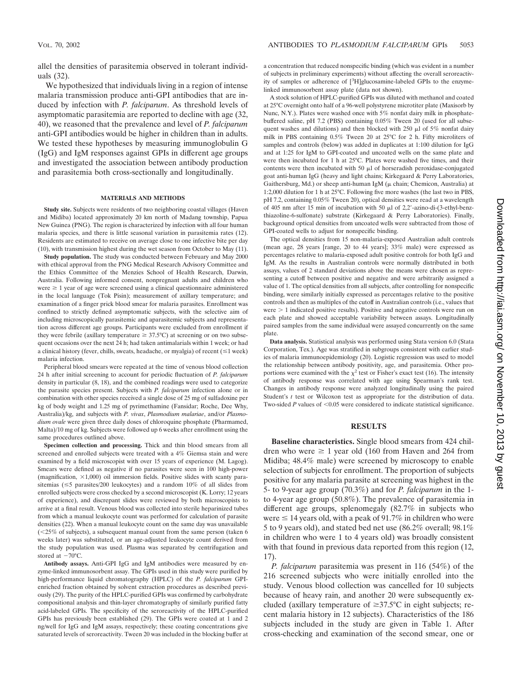allel the densities of parasitemia observed in tolerant individuals (32).

We hypothesized that individuals living in a region of intense malaria transmission produce anti-GPI antibodies that are induced by infection with *P. falciparum*. As threshold levels of asymptomatic parasitemia are reported to decline with age (32, 40), we reasoned that the prevalence and level of *P. falciparum* anti-GPI antibodies would be higher in children than in adults. We tested these hypotheses by measuring immunoglobulin G (IgG) and IgM responses against GPIs in different age groups and investigated the association between antibody production and parasitemia both cross-sectionally and longitudinally.

#### **MATERIALS AND METHODS**

**Study site.** Subjects were residents of two neighboring coastal villages (Haven and Midiba) located approximately 20 km north of Madang township, Papua New Guinea (PNG). The region is characterized by infection with all four human malaria species, and there is little seasonal variation in parasitemia rates (12). Residents are estimated to receive on average close to one infective bite per day (10), with transmission highest during the wet season from October to May (11).

**Study population.** The study was conducted between February and May 2000 with ethical approval from the PNG Medical Research Advisory Committee and the Ethics Committee of the Menzies School of Health Research, Darwin, Australia. Following informed consent, nonpregnant adults and children who were  $\geq 1$  year of age were screened using a clinical questionnaire administered in the local language (Tok Pisin); measurement of axillary temperature; and examination of a finger prick blood smear for malaria parasites. Enrollment was confined to strictly defined asymptomatic subjects, with the selective aim of including microscopically parasitemic and aparasitemic subjects and representation across different age groups. Participants were excluded from enrollment if they were febrile (axillary temperature  $\geq 37.5^{\circ}$ C) at screening or on two subsequent occasions over the next 24 h; had taken antimalarials within 1 week; or had a clinical history (fever, chills, sweats, headache, or myalgia) of recent  $(\leq 1$  week) malaria infection.

Peripheral blood smears were repeated at the time of venous blood collection 24 h after initial screening to account for periodic fluctuation of *P. falciparum* density in particular (8, 18), and the combined readings were used to categorize the parasite species present. Subjects with *P. falciparum* infection alone or in combination with other species received a single dose of 25 mg of sulfadoxine per kg of body weight and 1.25 mg of pyrimethamine (Fansidar; Roche, Dee Why, Australia)/kg, and subjects with *P. vivax*, *Plasmodium malariae*, and/or *Plasmodium ovale* were given three daily doses of chloroquine phosphate (Pharmamed, Malta)/10 mg of kg. Subjects were followed up 6 weeks after enrollment using the same procedures outlined above.

**Specimen collection and processing.** Thick and thin blood smears from all screened and enrolled subjects were treated with a 4% Giemsa stain and were examined by a field microscopist with over 15 years of experience (M. Lagog). Smears were defined as negative if no parasites were seen in 100 high-power (magnification,  $\times$ 1,000) oil immersion fields. Positive slides with scanty parasitemias ( $\leq$ 5 parasites/200 leukocytes) and a random 10% of all slides from enrolled subjects were cross checked by a second microscopist (K. Lorry; 12 years of experience), and discrepant slides were reviewed by both microscopists to arrive at a final result. Venous blood was collected into sterile heparinized tubes from which a manual leukocyte count was performed for calculation of parasite densities (22). When a manual leukocyte count on the same day was unavailable  $(<25\%$  of subjects), a subsequent manual count from the same person (taken 6) weeks later) was substituted, or an age-adjusted leukocyte count derived from the study population was used. Plasma was separated by centrifugation and stored at  $-70^{\circ}$ C.

**Antibody assays.** Anti-GPI IgG and IgM antibodies were measured by enzyme-linked immunosorbent assay. The GPIs used in this study were purified by high-performance liquid chromatography (HPLC) of the *P. falciparum* GPIenriched fraction obtained by solvent extraction procedures as described previously (29). The purity of the HPLC-purified GPIs was confirmed by carbohydrate compositional analysis and thin-layer chromatography of similarly purified fatty acid-labeled GPIs. The specificity of the seroreactivity of the HPLC-purified GPIs has previously been established (29). The GPIs were coated at 1 and 2 ng/well for IgG and IgM assays, respectively; these coating concentrations give saturated levels of seroreactivity. Tween 20 was included in the blocking buffer at a concentration that reduced nonspecific binding (which was evident in a number of subjects in preliminary experiments) without affecting the overall seroreactivity of samples or adherence of [<sup>3</sup>H]glucosamine-labeled GPIs to the enzymelinked immunosorbent assay plate (data not shown).

A stock solution of HPLC-purified GPIs was diluted with methanol and coated at 25°C overnight onto half of a 96-well polystyrene microtiter plate (Maxisorb by Nunc, N.Y.). Plates were washed once with 5% nonfat dairy milk in phosphatebuffered saline, pH 7.2 (PBS) containing 0.05% Tween 20 (used for all subsequent washes and dilutions) and then blocked with  $250$   $\mu$ l of  $5\%$  nonfat dairy milk in PBS containing 0.5% Tween 20 at 25°C for 2 h. Fifty microliters of samples and controls (below) was added in duplicates at 1:100 dilution for IgG and at 1:25 for IgM to GPI-coated and uncoated wells on the same plate and were then incubated for 1 h at 25°C. Plates were washed five times, and their contents were then incubated with 50  $\mu$ l of horseradish peroxidase-conjugated goat anti-human IgG (heavy and light chains; Kirkegaard & Perry Laboratories, Gaithersburg, Md.) or sheep anti-human IgM (u chain: Chemicon, Australia) at 1:2,000 dilution for 1 h at 25°C. Following five more washes (the last two in PBS, pH 7.2, containing 0.05% Tween 20), optical densities were read at a wavelength of 405 nm after 15 min of incubation with 50  $\mu$ l of 2,2'-azino-di-(3-ethyl-benzthiazoline-6-sulfonate) substrate (Kirkegaard & Perry Laboratories). Finally, background optical densities from uncoated wells were subtracted from those of GPI-coated wells to adjust for nonspecific binding.

The optical densities from 15 non-malaria-exposed Australian adult controls (mean age, 28 years [range, 20 to 44 years]; 33% male) were expressed as percentages relative to malaria-exposed adult positive controls for both IgG and IgM. As the results in Australian controls were normally distributed in both assays, values of 2 standard deviations above the means were chosen as representing a cutoff between positive and negative and were arbitrarily assigned a value of 1. The optical densities from all subjects, after controlling for nonspecific binding, were similarly initially expressed as percentages relative to the positive controls and then as multiples of the cutoff in Australian controls (i.e., values that were  $> 1$  indicated positive results). Positive and negative controls were run on each plate and showed acceptable variability between assays. Longitudinally paired samples from the same individual were assayed concurrently on the same plate.

**Data analysis.** Statistical analysis was performed using Stata version 6.0 (Stata Corporation, Tex.). Age was stratified in subgroups consistent with earlier studies of malaria immunoepidemiology (20). Logistic regression was used to model the relationship between antibody positivity, age, and parasitemia. Other proportions were examined with the  $\chi^2$  test or Fisher's exact test (16). The intensity of antibody response was correlated with age using Spearman's rank test. Changes in antibody response were analyzed longitudinally using the paired Student's *t* test or Wilcoxon test as appropriate for the distribution of data. Two-sided  $P$  values of  $\leq 0.05$  were considered to indicate statistical significance.

#### **RESULTS**

**Baseline characteristics.** Single blood smears from 424 children who were  $\geq 1$  year old (160 from Haven and 264 from Midiba; 48.4% male) were screened by microscopy to enable selection of subjects for enrollment. The proportion of subjects positive for any malaria parasite at screening was highest in the 5- to 9-year age group (70.3%) and for *P. falciparum* in the 1 to 4-year age group (50.8%). The prevalence of parasitemia in different age groups, splenomegaly (82.7% in subjects who were  $\leq 14$  years old, with a peak of 91.7% in children who were 5 to 9 years old), and stated bed net use (86.2% overall; 98.1% in children who were 1 to 4 years old) was broadly consistent with that found in previous data reported from this region (12, 17).

*P. falciparum* parasitemia was present in 116 (54%) of the 216 screened subjects who were initially enrolled into the study. Venous blood collection was cancelled for 10 subjects because of heavy rain, and another 20 were subsequently excluded (axillary temperature of  $\geq 37.5^{\circ}$ C in eight subjects; recent malaria history in 12 subjects). Characteristics of the 186 subjects included in the study are given in Table 1. After cross-checking and examination of the second smear, one or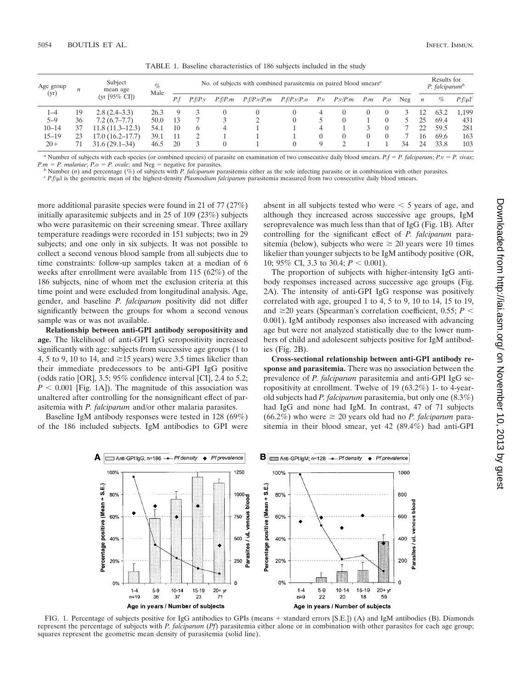| Age group<br>(yr) | $\boldsymbol{n}$ | Subject<br>mean age<br>$(yr [95\% CI])$ | $\%$<br>Male | No. of subjects with combined parasitemia on paired blood smears <sup>a</sup> |                |         |             |             |              |                 |  |     |     | Results for<br>P. falciparum <sup>b</sup> |      |                        |
|-------------------|------------------|-----------------------------------------|--------------|-------------------------------------------------------------------------------|----------------|---------|-------------|-------------|--------------|-----------------|--|-----|-----|-------------------------------------------|------|------------------------|
|                   |                  |                                         |              | P.f                                                                           | P.f/P.v        | P.f/P.m | P.f/P.v/P.m | P.f/P.v/P.o | $P_{\cdot}v$ | $P.v/P.m$ $P.m$ |  | P.o | Neg | $\overline{n}$                            | %    | $P.f/\mu$ <sup>c</sup> |
| 1–4               | 19               | $2.8(2.4-3.3)$                          | 26.3         | 9                                                                             |                |         |             | $^{(1)}$    | 4            |                 |  |     |     |                                           | 63.2 | 1.199                  |
| $5 - 9$           | 36               | $7.2(6.7-7.7)$                          | 50.0         | 13                                                                            |                |         |             | 0           |              |                 |  |     |     | 25                                        | 69.4 | 431                    |
| $10 - 14$         | 37               | $11.8(11.3-12.3)$                       | 54.1         | 10                                                                            | <sub>b</sub>   |         |             |             | 4            |                 |  |     |     | 22                                        | 59.5 | 281                    |
| $15 - 19$         |                  | 17.0(16.2–17.7)                         | 39.1         |                                                                               |                |         |             |             |              |                 |  |     |     | 16                                        | 69.6 | 163                    |
| $20+$             |                  | $31.6(29.1 - 34)$                       | 46.5         | 20                                                                            | $\overline{A}$ |         |             | $\Omega$    | Q            |                 |  |     | 34  | 24                                        | 33.8 | 103                    |

TABLE 1. Baseline characteristics of 186 subjects included in the study

<sup>*a*</sup> Number of subjects with each species (or combined species) of parasite on examination of two consecutive daily blood smears.  $P_f = P$ . *falciparum*;  $P_v = P$ . *vivax*;  $P.m = P.$  *malariae*;  $P.o = P.$  *ovale*; and  $Neg =$ 

<sup>b</sup> Number (*n*) and percentage (%) of subjects with *P. falciparum* parasitemia either as the sole infecting parasite or in combination with other parasites.<br><sup>c</sup> *P.f*/ $\mu$ l is the geometric mean of the highest-density

more additional parasite species were found in 21 of 77 (27%) initially aparasitemic subjects and in 25 of 109 (23%) subjects who were parasitemic on their screening smear. Three axillary temperature readings were recorded in 151 subjects; two in 29 subjects; and one only in six subjects. It was not possible to collect a second venous blood sample from all subjects due to time constraints: follow-up samples taken at a median of 6 weeks after enrollment were available from 115 (62%) of the 186 subjects, nine of whom met the exclusion criteria at this time point and were excluded from longitudinal analysis. Age, gender, and baseline *P. falciparum* positivity did not differ significantly between the groups for whom a second venous sample was or was not available.

**Relationship between anti-GPI antibody seropositivity and age.** The likelihood of anti-GPI IgG seropositivity increased significantly with age: subjects from successive age groups (1 to 4, 5 to 9, 10 to 14, and  $\geq$  15 years) were 3.5 times likelier than their immediate predecessors to be anti-GPI IgG positive (odds ratio [OR], 3.5; 95% confidence interval [CI], 2.4 to 5.2;  $P < 0.001$  [Fig. 1A]). The magnitude of this association was unaltered after controlling for the nonsignificant effect of parasitemia with *P. falciparum* and/or other malaria parasites.

Baseline IgM antibody responses were tested in 128 (69%) of the 186 included subjects. IgM antibodies to GPI were absent in all subjects tested who were  $\leq 5$  years of age, and although they increased across successive age groups, IgM seroprevalence was much less than that of IgG (Fig. 1B). After controlling for the significant effect of *P. falciparum* parasitemia (below), subjects who were  $\geq 20$  years were 10 times likelier than younger subjects to be IgM antibody positive (OR, 10; 95% CI, 3.3 to 30.4;  $P < 0.001$ ).

The proportion of subjects with higher-intensity IgG antibody responses increased across successive age groups (Fig. 2A). The intensity of anti-GPI IgG response was positively correlated with age, grouped 1 to 4, 5 to 9, 10 to 14, 15 to 19, and  $\geq$ 20 years (Spearman's correlation coefficient, 0.55; *P* < 0.001). IgM antibody responses also increased with advancing age but were not analyzed statistically due to the lower numbers of child and adolescent subjects positive for IgM antibodies (Fig. 2B).

**Cross-sectional relationship between anti-GPI antibody response and parasitemia.** There was no association between the prevalence of *P. falciparum* parasitemia and anti-GPI IgG seropositivity at enrollment. Twelve of 19 (63.2%) 1- to 4-yearold subjects had *P. falciparum* parasitemia, but only one (8.3%) had IgG and none had IgM. In contrast, 47 of 71 subjects  $(66.2\%)$  who were  $\geq 20$  years old had no *P. falciparum* parasitemia in their blood smear, yet 42 (89.4%) had anti-GPI



FIG. 1. Percentage of subjects positive for IgG antibodies to GPIs (means + standard errors [S.E.]) (A) and IgM antibodies (B). Diamonds represent the percentage of subjects with *P. falciparum* (*Pf*) parasitemia either alone or in combination with other parasites for each age group; squares represent the geometric mean density of parasitemia (solid line).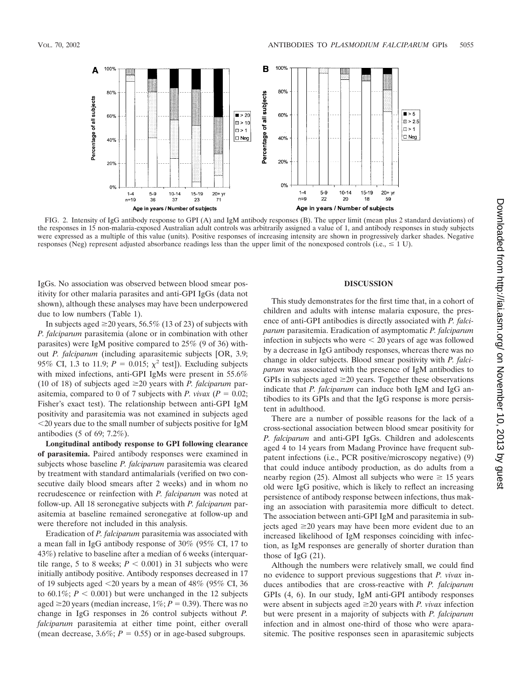

FIG. 2. Intensity of IgG antibody response to GPI (A) and IgM antibody responses (B). The upper limit (mean plus 2 standard deviations) of the responses in 15 non-malaria-exposed Australian adult controls was arbitrarily assigned a value of 1, and antibody responses in study subjects were expressed as a multiple of this value (units). Positive responses of increasing intensity are shown in progressively darker shades. Negative responses (Neg) represent adjusted absorbance readings less than the upper limit of the nonexposed controls (i.e.,  $\leq 1$  U).

IgGs. No association was observed between blood smear positivity for other malaria parasites and anti-GPI IgGs (data not shown), although these analyses may have been underpowered due to low numbers (Table 1).

In subjects aged  $\geq$  20 years, 56.5% (13 of 23) of subjects with *P. falciparum* parasitemia (alone or in combination with other parasites) were IgM positive compared to 25% (9 of 36) without *P. falciparum* (including aparasitemic subjects [OR, 3.9; 95% CI, 1.3 to 11.9;  $P = 0.015$ ;  $\chi^2$  test]). Excluding subjects with mixed infections, anti-GPI IgMs were present in 55.6% (10 of 18) of subjects aged  $\geq$  20 years with *P. falciparum* parasitemia, compared to 0 of 7 subjects with *P. vivax* ( $P = 0.02$ ; Fisher's exact test). The relationship between anti-GPI IgM positivity and parasitemia was not examined in subjects aged 20 years due to the small number of subjects positive for IgM antibodies (5 of 69; 7.2%).

**Longitudinal antibody response to GPI following clearance of parasitemia.** Paired antibody responses were examined in subjects whose baseline *P. falciparum* parasitemia was cleared by treatment with standard antimalarials (verified on two consecutive daily blood smears after 2 weeks) and in whom no recrudescence or reinfection with *P. falciparum* was noted at follow-up. All 18 seronegative subjects with *P. falciparum* parasitemia at baseline remained seronegative at follow-up and were therefore not included in this analysis.

Eradication of *P. falciparum* parasitemia was associated with a mean fall in IgG antibody response of 30% (95% CI, 17 to 43%) relative to baseline after a median of 6 weeks (interquartile range, 5 to 8 weeks;  $P < 0.001$ ) in 31 subjects who were initially antibody positive. Antibody responses decreased in 17 of 19 subjects aged  $\leq$ 20 years by a mean of 48% (95% CI, 36 to  $60.1\%$ ;  $P < 0.001$ ) but were unchanged in the 12 subjects aged  $\geq$ 20 years (median increase,  $1\%$ ;  $P = 0.39$ ). There was no change in IgG responses in 26 control subjects without *P. falciparum* parasitemia at either time point, either overall (mean decrease,  $3.6\%$ ;  $P = 0.55$ ) or in age-based subgroups.

#### **DISCUSSION**

This study demonstrates for the first time that, in a cohort of children and adults with intense malaria exposure, the presence of anti-GPI antibodies is directly associated with *P. falciparum* parasitemia. Eradication of asymptomatic *P. falciparum* infection in subjects who were  $\leq 20$  years of age was followed by a decrease in IgG antibody responses, whereas there was no change in older subjects. Blood smear positivity with *P. falciparum* was associated with the presence of IgM antibodies to GPIs in subjects aged  $\geq 20$  years. Together these observations indicate that *P. falciparum* can induce both IgM and IgG antibodies to its GPIs and that the IgG response is more persistent in adulthood.

There are a number of possible reasons for the lack of a cross-sectional association between blood smear positivity for *P. falciparum* and anti-GPI IgGs. Children and adolescents aged 4 to 14 years from Madang Province have frequent subpatent infections (i.e., PCR positive/microscopy negative) (9) that could induce antibody production, as do adults from a nearby region (25). Almost all subjects who were  $\geq 15$  years old were IgG positive, which is likely to reflect an increasing persistence of antibody response between infections, thus making an association with parasitemia more difficult to detect. The association between anti-GPI IgM and parasitemia in subjects aged  $\geq$ 20 years may have been more evident due to an increased likelihood of IgM responses coinciding with infection, as IgM responses are generally of shorter duration than those of IgG (21).

Although the numbers were relatively small, we could find no evidence to support previous suggestions that *P. vivax* induces antibodies that are cross-reactive with *P. falciparum* GPIs (4, 6). In our study, IgM anti-GPI antibody responses were absent in subjects aged  $\geq$  20 years with *P. vivax* infection but were present in a majority of subjects with *P. falciparum* infection and in almost one-third of those who were aparasitemic. The positive responses seen in aparasitemic subjects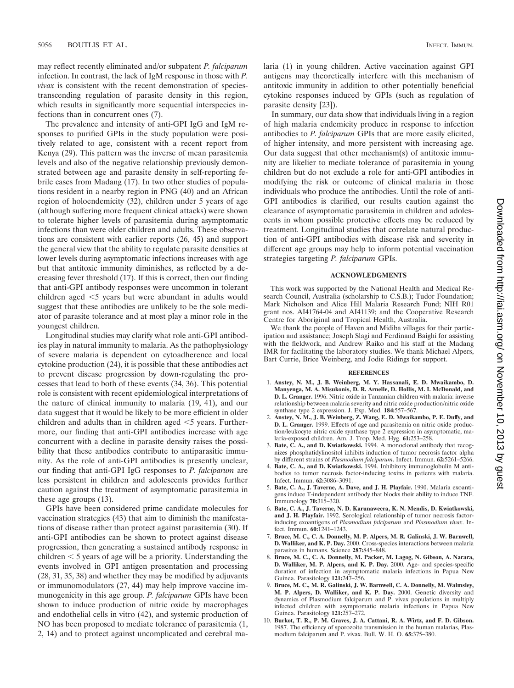may reflect recently eliminated and/or subpatent *P. falciparum* infection. In contrast, the lack of IgM response in those with *P. vivax* is consistent with the recent demonstration of speciestranscending regulation of parasite density in this region, which results in significantly more sequential interspecies infections than in concurrent ones (7).

The prevalence and intensity of anti-GPI IgG and IgM responses to purified GPIs in the study population were positively related to age, consistent with a recent report from Kenya (29). This pattern was the inverse of mean parasitemia levels and also of the negative relationship previously demonstrated between age and parasite density in self-reporting febrile cases from Madang (17). In two other studies of populations resident in a nearby region in PNG (40) and an African region of holoendemicity (32), children under 5 years of age (although suffering more frequent clinical attacks) were shown to tolerate higher levels of parasitemia during asymptomatic infections than were older children and adults. These observations are consistent with earlier reports (26, 45) and support the general view that the ability to regulate parasite densities at lower levels during asymptomatic infections increases with age but that antitoxic immunity diminishes, as reflected by a decreasing fever threshold (17). If this is correct, then our finding that anti-GPI antibody responses were uncommon in tolerant children aged  $\leq$  years but were abundant in adults would suggest that these antibodies are unlikely to be the sole mediator of parasite tolerance and at most play a minor role in the youngest children.

Longitudinal studies may clarify what role anti-GPI antibodies play in natural immunity to malaria. As the pathophysiology of severe malaria is dependent on cytoadherence and local cytokine production (24), it is possible that these antibodies act to prevent disease progression by down-regulating the processes that lead to both of these events (34, 36). This potential role is consistent with recent epidemiological interpretations of the nature of clinical immunity to malaria (19, 41), and our data suggest that it would be likely to be more efficient in older children and adults than in children aged  $<$  5 years. Furthermore, our finding that anti-GPI antibodies increase with age concurrent with a decline in parasite density raises the possibility that these antibodies contribute to antiparasitic immunity. As the role of anti-GPI antibodies is presently unclear, our finding that anti-GPI IgG responses to *P. falciparum* are less persistent in children and adolescents provides further caution against the treatment of asymptomatic parasitemia in these age groups (13).

GPIs have been considered prime candidate molecules for vaccination strategies (43) that aim to diminish the manifestations of disease rather than protect against parasitemia (30). If anti-GPI antibodies can be shown to protect against disease progression, then generating a sustained antibody response in children  $\leq 5$  years of age will be a priority. Understanding the events involved in GPI antigen presentation and processing (28, 31, 35, 38) and whether they may be modified by adjuvants or immunomodulators (27, 44) may help improve vaccine immunogenicity in this age group. *P. falciparum* GPIs have been shown to induce production of nitric oxide by macrophages and endothelial cells in vitro (42), and systemic production of NO has been proposed to mediate tolerance of parasitemia (1, 2, 14) and to protect against uncomplicated and cerebral malaria (1) in young children. Active vaccination against GPI antigens may theoretically interfere with this mechanism of antitoxic immunity in addition to other potentially beneficial cytokine responses induced by GPIs (such as regulation of parasite density [23]).

In summary, our data show that individuals living in a region of high malaria endemicity produce in response to infection antibodies to *P. falciparum* GPIs that are more easily elicited, of higher intensity, and more persistent with increasing age. Our data suggest that other mechanism(s) of antitoxic immunity are likelier to mediate tolerance of parasitemia in young children but do not exclude a role for anti-GPI antibodies in modifying the risk or outcome of clinical malaria in those individuals who produce the antibodies. Until the role of anti-GPI antibodies is clarified, our results caution against the clearance of asymptomatic parasitemia in children and adolescents in whom possible protective effects may be reduced by treatment. Longitudinal studies that correlate natural production of anti-GPI antibodies with disease risk and severity in different age groups may help to inform potential vaccination strategies targeting *P. falciparum* GPIs.

#### **ACKNOWLEDGMENTS**

This work was supported by the National Health and Medical Research Council, Australia (scholarship to C.S.B.); Tudor Foundation; Mark Nicholson and Alice Hill Malaria Research Fund; NIH R01 grant nos. AI41764-04 and AI41139; and the Cooperative Research Centre for Aboriginal and Tropical Health, Australia.

We thank the people of Haven and Midiba villages for their participation and assistance; Joseph Slagi and Ferdinand Baighi for assisting with the fieldwork, and Andrew Raiko and his staff at the Madang IMR for facilitating the laboratory studies. We thank Michael Alpers, Bart Currie, Brice Weinberg, and Jodie Ridings for support.

#### **REFERENCES**

- 1. **Anstey, N. M., J. B. Weinberg, M. Y. Hassanali, E. D. Mwaikambo, D. Manyenga, M. A. Misukonis, D. R. Arnelle, D. Hollis, M. I. McDonald, and D. L. Granger.** 1996. Nitric oxide in Tanzanian children with malaria: inverse relationship between malaria severity and nitric oxide production/nitric oxide synthase type 2 expression. J. Exp. Med. **184:**557–567.
- 2. **Anstey, N. M., J. B. Weinberg, Z. Wang, E. D. Mwaikambo, P. E. Duffy, and D. L. Granger.** 1999. Effects of age and parasitemia on nitric oxide production/leukocyte nitric oxide synthase type 2 expression in asymptomatic, malaria-exposed children. Am. J. Trop. Med. Hyg. **61:**253–258.
- 3. **Bate, C. A., and D. Kwiatkowski.** 1994. A monoclonal antibody that recognizes phosphatidylinositol inhibits induction of tumor necrosis factor alpha by different strains of *Plasmodium falciparum*. Infect. Immun. **62:**5261–5266.
- 4. **Bate, C. A., and D. Kwiatkowski.** 1994. Inhibitory immunoglobulin M antibodies to tumor necrosis factor-inducing toxins in patients with malaria. Infect. Immun. **62:**3086–3091.
- 5. **Bate, C. A., J. Taverne, A. Dave, and J. H. Playfair.** 1990. Malaria exoantigens induce T-independent antibody that blocks their ability to induce TNF. Immunology **70:**315–320.
- 6. **Bate, C. A., J. Taverne, N. D. Karunaweera, K. N. Mendis, D. Kwiatkowski, and J. H. Playfair.** 1992. Serological relationship of tumor necrosis factorinducing exoantigens of *Plasmodium falciparum* and *Plasmodium vivax*. Infect. Immun. **60:**1241–1243.
- 7. **Bruce, M. C., C. A. Donnelly, M. P. Alpers, M. R. Galinski, J. W. Barnwell, D. Walliker, and K. P. Day.** 2000. Cross-species interactions between malaria parasites in humans. Science **287:**845–848.
- 8. **Bruce, M. C., C. A. Donnelly, M. Packer, M. Lagog, N. Gibson, A. Narara, D. Walliker, M. P. Alpers, and K. P. Day.** 2000. Age- and species-specific duration of infection in asymptomatic malaria infections in Papua New Guinea. Parasitology **121:**247–256.
- 9. **Bruce, M. C., M. R. Galinski, J. W. Barnwell, C. A. Donnelly, M. Walmsley, M. P. Alpers, D. Walliker, and K. P. Day.** 2000. Genetic diversity and dynamics of Plasmodium falciparum and P. vivax populations in multiply infected children with asymptomatic malaria infections in Papua New Guinea. Parasitology **121:**257–272.
- 10. **Burkot, T. R., P. M. Graves, J. A. Cattani, R. A. Wirtz, and F. D. Gibson.** 1987. The efficiency of sporozoite transmission in the human malarias, Plasmodium falciparum and P. vivax. Bull. W. H. O. **65:**375–380.